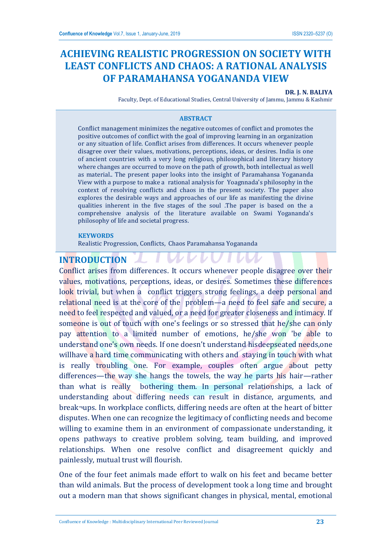# **ACHIEVING REALISTIC PROGRESSION ON SOCIETY WITH LEAST CONFLICTS AND CHAOS: A RATIONAL ANALYSIS OF PARAMAHANSA YOGANANDA VIEW**

#### **DR. J. N. BALIYA**

Faculty, Dept. of Educational Studies, Central University of Jammu, Jammu & Kashmir

#### **ABSTRACT**

Conflict management minimizes the negative outcomes of conflict and promotes the positive outcomes of conflict with the goal of improving learning in an organization or any situation of life. Conflict arises from differences. It occurs whenever people disagree over their values, motivations, perceptions, ideas, or desires. India is one of ancient countries with a very long religious, philosophical and literary history where changes are occurred to move on the path of growth, both intellectual as well as material.. The present paper looks into the insight of Paramahansa Yogananda View with a purpose to make a rational analysis for Yoagnnada's philosophy in the context of resolving conflicts and chaos in the present society. The paper also explores the desirable ways and approaches of our life as manifesting the divine qualities inherent in the five stages of the soul .The paper is based on the a comprehensive analysis of the literature available on Swami Yogananda's philosophy of life and societal progress.

#### **KEYWORDS**

Realistic Progression, Conflicts, Chaos Paramahansa Yogananda

### **INTRODUCTION**

Conflict arises from differences. It occurs whenever people disagree over their values, motivations, perceptions, ideas, or desires. Sometimes these differences look trivial, but when a conflict triggers strong feelings, a deep personal and relational need is at the core of the problem—a need to feel safe and secure, a need to feel respected and valued, or a need for greater closeness and intimacy. If someone is out of touch with one's feelings or so stressed that he/she can only pay attention to a limited number of emotions, he/she won 'be able to understand one's own needs. If one doesn't understand hisdeepseated needs,one willhave a hard time communicating with others and staying in touch with what is really troubling one. For example, couples often argue about petty differences—the way she hangs the towels, the way he parts his hair—rather than what is really bothering them. In personal relationships, a lack of understanding about differing needs can result in distance, arguments, and break¬ups. In workplace conflicts, differing needs are often at the heart of bitter disputes. When one can recognize the legitimacy of conflicting needs and become willing to examine them in an environment of compassionate understanding, it opens pathways to creative problem solving, team building, and improved relationships. When one resolve conflict and disagreement quickly and painlessly, mutual trust will flourish.

One of the four feet animals made effort to walk on his feet and became better than wild animals. But the process of development took a long time and brought out a modern man that shows significant changes in physical, mental, emotional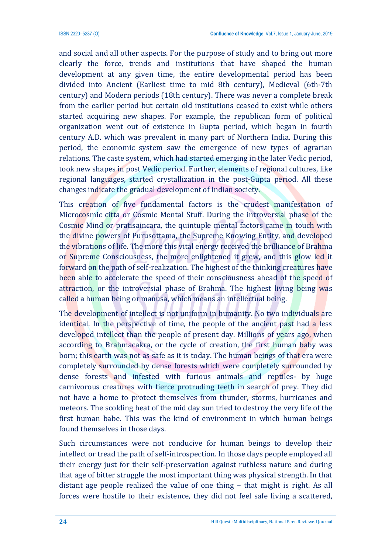and social and all other aspects. For the purpose of study and to bring out more clearly the force, trends and institutions that have shaped the human development at any given time, the entire developmental period has been divided into Ancient (Earliest time to mid 8th century), Medieval (6th-7th century) and Modern periods (18th century). There was never a complete break from the earlier period but certain old institutions ceased to exist while others started acquiring new shapes. For example, the republican form of political organization went out of existence in Gupta period, which began in fourth century A.D. which was prevalent in many part of Northern India. During this period, the economic system saw the emergence of new types of agrarian relations. The caste system, which had started emerging in the later Vedic period, took new shapes in post Vedic period. Further, elements of regional cultures, like regional languages, started crystallization in the post-Gupta period. All these changes indicate the gradual development of Indian society.

This creation of five fundamental factors is the crudest manifestation of Microcosmic citta or Cosmic Mental Stuff. During the introversial phase of the Cosmic Mind or pratisaincara, the quintuple mental factors came in touch with the divine powers of Purusottama, the Supreme Knowing Entity, and developed the vibrations of life. The more this vital energy received the brilliance of Brahma or Supreme Consciousness, the more enlightened it grew, and this glow led it forward on the path of self-realization. The highest of the thinking creatures have been able to accelerate the speed of their consciousness ahead of the speed of attraction, or the introversial phase of Brahma. The highest living being was called a human being or manusa, which means an intellectual being.

The development of intellect is not uniform in humanity. No two individuals are identical. In the perspective of time, the people of the ancient past had a less developed intellect than the people of present day. Millions of years ago, when according to Brahmacakra, or the cycle of creation, the first human baby was born; this earth was not as safe as it is today. The human beings of that era were completely surrounded by dense forests which were completely surrounded by dense forests and infested with furious animals and reptiles- by huge carnivorous creatures with fierce protruding teeth in search of prey. They did not have a home to protect themselves from thunder, storms, hurricanes and meteors. The scolding heat of the mid day sun tried to destroy the very life of the first human babe. This was the kind of environment in which human beings found themselves in those days.

Such circumstances were not conducive for human beings to develop their intellect or tread the path of self-introspection. In those days people employed all their energy just for their self-preservation against ruthless nature and during that age of bitter struggle the most important thing was physical strength. In that distant age people realized the value of one thing – that might is right. As all forces were hostile to their existence, they did not feel safe living a scattered,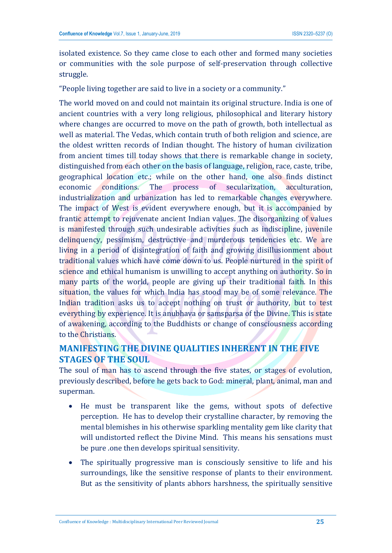isolated existence. So they came close to each other and formed many societies or communities with the sole purpose of self-preservation through collective struggle.

"People living together are said to live in a society or a community."

The world moved on and could not maintain its original structure. India is one of ancient countries with a very long religious, philosophical and literary history where changes are occurred to move on the path of growth, both intellectual as well as material. The Vedas, which contain truth of both religion and science, are the oldest written records of Indian thought. The history of human civilization from ancient times till today shows that there is remarkable change in society, distinguished from each other on the basis of language, religion, race, caste, tribe, geographical location etc.; while on the other hand, one also finds distinct economic conditions. The process of secularization, acculturation, industrialization and urbanization has led to remarkable changes everywhere. The impact of West is evident everywhere enough, but it is accompanied by frantic attempt to rejuvenate ancient Indian values. The disorganizing of values is manifested through such undesirable activities such as indiscipline, juvenile delinquency, pessimism, destructive and murderous tendencies etc. We are living in a period of disintegration of faith and growing disillusionment about traditional values which have come down to us. People nurtured in the spirit of science and ethical humanism is unwilling to accept anything on authority. So in many parts of the world, people are giving up their traditional faith. In this situation, the values for which India has stood may be of some relevance. The Indian tradition asks us to accept nothing on trust or authority, but to test everything by experience. It is anubhava or samsparsa of the Divine. This is state of awakening, according to the Buddhists or change of consciousness according to the Christians.

## **MANIFESTING THE DIVINE QUALITIES INHERENT IN THE FIVE STAGES OF THE SOUL**

The soul of man has to ascend through the five states, or stages of evolution, previously described, before he gets back to God: mineral, plant, animal, man and superman.

- He must be transparent like the gems, without spots of defective perception. He has to develop their crystalline character, by removing the mental blemishes in his otherwise sparkling mentality gem like clarity that will undistorted reflect the Divine Mind. This means his sensations must be pure .one then develops spiritual sensitivity.
- The spiritually progressive man is consciously sensitive to life and his surroundings, like the sensitive response of plants to their environment. But as the sensitivity of plants abhors harshness, the spiritually sensitive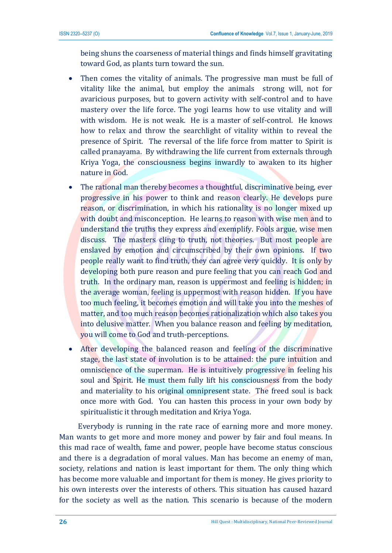being shuns the coarseness of material things and finds himself gravitating toward God, as plants turn toward the sun.

- Then comes the vitality of animals. The progressive man must be full of vitality like the animal, but employ the animals strong will, not for avaricious purposes, but to govern activity with self-control and to have mastery over the life force. The yogi learns how to use vitality and will with wisdom. He is not weak. He is a master of self-control. He knows how to relax and throw the searchlight of vitality within to reveal the presence of Spirit. The reversal of the life force from matter to Spirit is called pranayama. By withdrawing the life current from externals through Kriya Yoga, the consciousness begins inwardly to awaken to its higher nature in God.
- The rational man thereby becomes a thoughtful, discriminative being, ever progressive in his power to think and reason clearly. He develops pure reason, or discrimination, in which his rationality is no longer mixed up with doubt and misconception. He learns to reason with wise men and to understand the truths they express and exemplify. Fools argue, wise men discuss. The masters cling to truth, not theories. But most people are enslaved by emotion and circumscribed by their own opinions. If two people really want to find truth, they can agree very quickly. It is only by developing both pure reason and pure feeling that you can reach God and truth. In the ordinary man, reason is uppermost and feeling is hidden; in the average woman, feeling is uppermost with reason hidden. If you have too much feeling, it becomes emotion and will take you into the meshes of matter, and too much reason becomes rationalization which also takes you into delusive matter. When you balance reason and feeling by meditation, you will come to God and truth-perceptions.
- After developing the balanced reason and feeling of the discriminative stage, the last state of involution is to be attained: the pure intuition and omniscience of the superman. He is intuitively progressive in feeling his soul and Spirit. He must them fully lift his consciousness from the body and materiality to his original omnipresent state. The freed soul is back once more with God. You can hasten this process in your own body by spiritualistic it through meditation and Kriya Yoga.

Everybody is running in the rate race of earning more and more money. Man wants to get more and more money and power by fair and foul means. In this mad race of wealth, fame and power, people have become status conscious and there is a degradation of moral values. Man has become an enemy of man, society, relations and nation is least important for them. The only thing which has become more valuable and important for them is money. He gives priority to his own interests over the interests of others. This situation has caused hazard for the society as well as the nation. This scenario is because of the modern